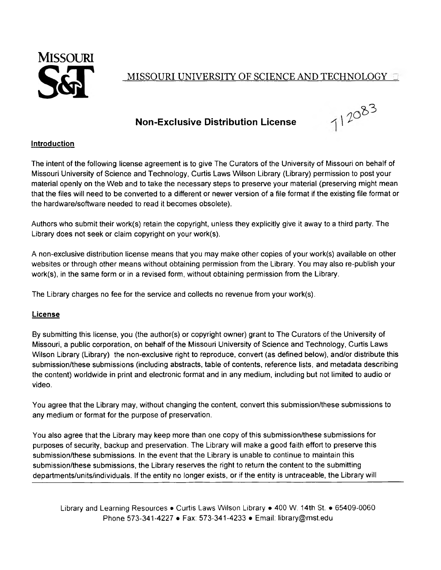

## MISSOURI UNIVERSITY OF SCIENCE AND TECHNOLOGY in

## **Non-Exclusive Distribution License**



## **Introduction**

The intent of the following license agreement is to give The Curators of the University of Missouri on behalf of Missouri University of Science and Technology, Curtis Laws Wilson Library (Library) permission to post your material openly on the Web and to take the necessary steps to preserve your material (preserving might mean that the files will need to be converted to a different or newer version of a file format if the existing file format or the hardware/software needed to read it becomes obsolete).

Authors who submit their work(s) retain the copyright, unless they explicitly give it away to a third party. The Library does not seek or claim copyright on your work(s).

A non-exclusive distribution license means that you may make other copies of your work(s) available on other websites or through other means without obtaining permission from the Library. You may also re-publish your work(s), in the same form or in a revised form, without obtaining permission from the Library.

The Library charges no fee for the service and collects no revenue from your work(s).

## **License**

By submitting this license, you (the author(s) or copyright owner) grant to The Curators of the University of Missouri, a public corporation, on behalf of the Missouri University of Science and Technology, Curtis Laws Wilson Library (Library) the non-exclusive right to reproduce, convert (as defined below), and/or distribute this submission/these submissions (including abstracts, table of contents, reference lists, and metadata describing the content) worldwide in print and electronic format and in any medium, including but not limited to audio or video.

You agree that the Library may, without changing the content, convert this submission/these submissions to any medium or format for the purpose of preservation.

You also agree that the Library may keep more than one copy of this submission/these submissions for purposes of security, backup and preservation. The Library will make a good faith effort to preserve this submission/these submissions. In the event that the Library is unable to continue to maintain this submission/these submissions, the Library reserves the right to return the content to the submitting departments/units/individuals. If the entity no longer exists, or if the entity is untraceable, the Library will